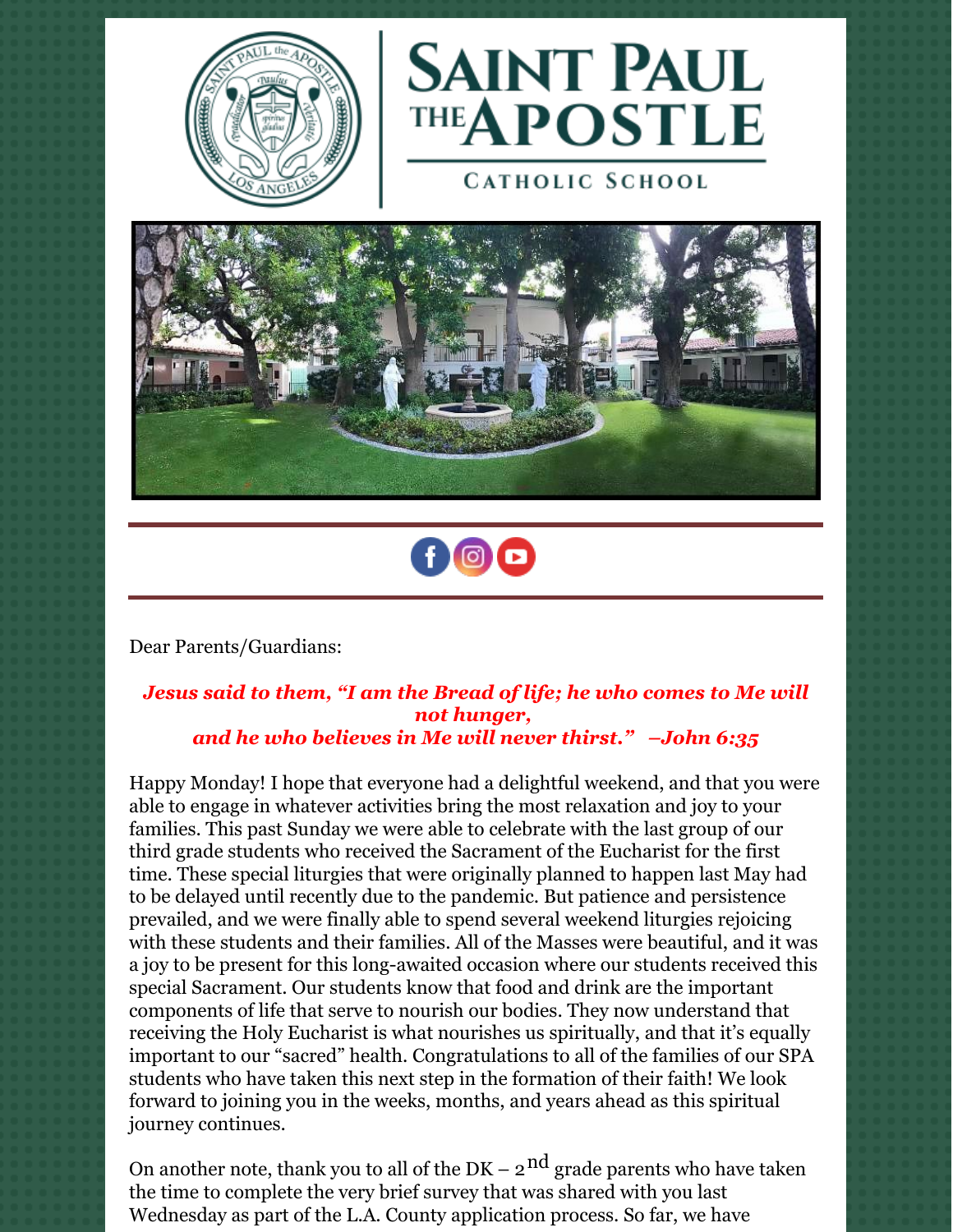



**CATHOLIC SCHOOL** 





Dear Parents/Guardians:

#### *Jesus said to them, "I am the Bread of life; he who comes to Me will not hunger, and he who believes in Me will never thirst." –John 6:35*

Happy Monday! I hope that everyone had a delightful weekend, and that you were able to engage in whatever activities bring the most relaxation and joy to your families. This past Sunday we were able to celebrate with the last group of our third grade students who received the Sacrament of the Eucharist for the first time. These special liturgies that were originally planned to happen last May had to be delayed until recently due to the pandemic. But patience and persistence prevailed, and we were finally able to spend several weekend liturgies rejoicing with these students and their families. All of the Masses were beautiful, and it was a joy to be present for this long-awaited occasion where our students received this special Sacrament. Our students know that food and drink are the important components of life that serve to nourish our bodies. They now understand that receiving the Holy Eucharist is what nourishes us spiritually, and that it's equally important to our "sacred" health. Congratulations to all of the families of our SPA students who have taken this next step in the formation of their faith! We look forward to joining you in the weeks, months, and years ahead as this spiritual journey continues.

On another note, thank you to all of the  $DK - 2$ <sup>nd</sup> grade parents who have taken the time to complete the very brief survey that was shared with you last Wednesday as part of the L.A. County application process. So far, we have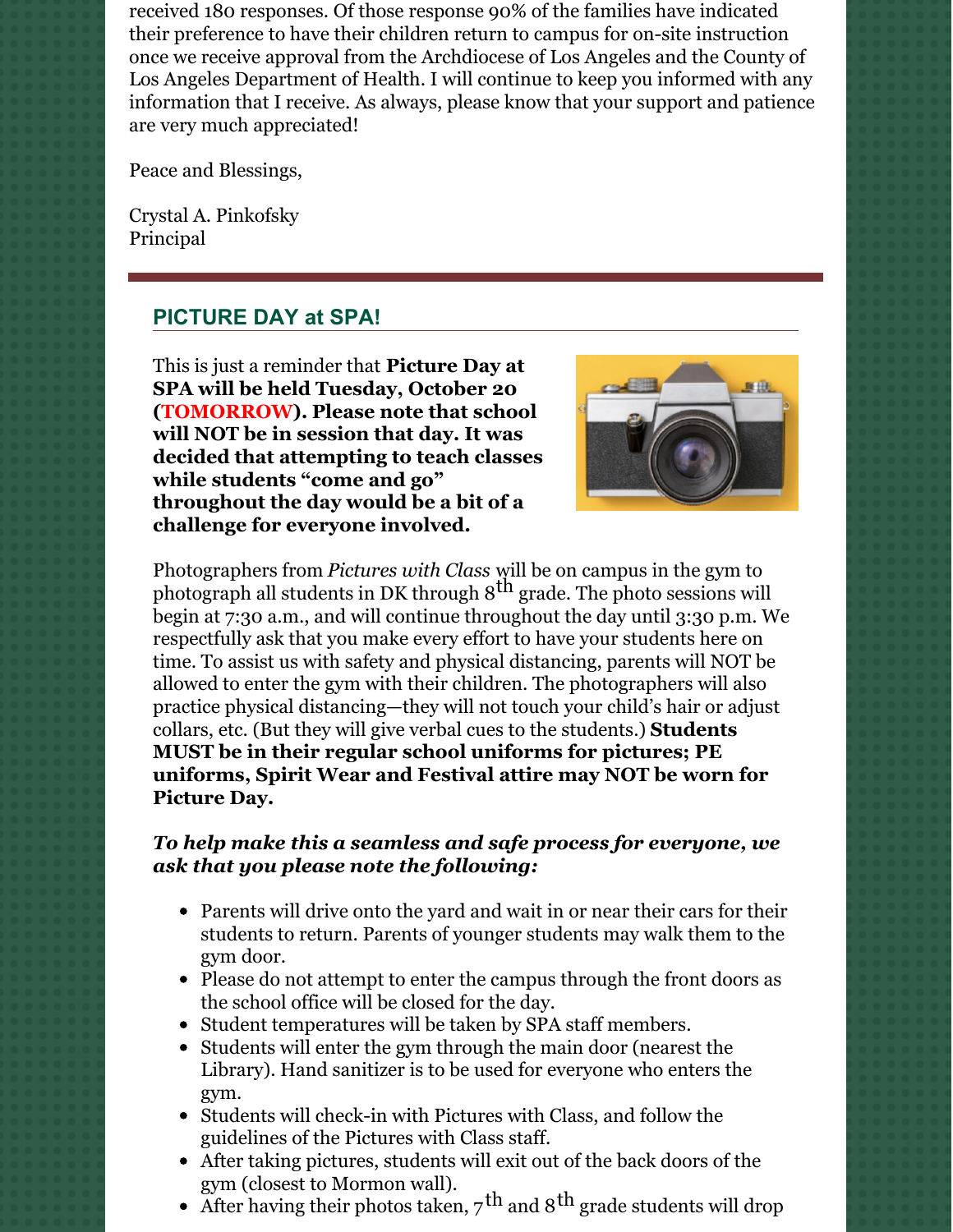received 180 responses. Of those response 90% of the families have indicated their preference to have their children return to campus for on-site instruction once we receive approval from the Archdiocese of Los Angeles and the County of Los Angeles Department of Health. I will continue to keep you informed with any information that I receive. As always, please know that your support and patience are very much appreciated!

Peace and Blessings,

Crystal A. Pinkofsky Principal

# **PICTURE DAY at SPA!**

This is just a reminder that **Picture Day at SPA will be held Tuesday, October 20 (TOMORROW). Please note that school will NOT be in session that day. It was decided that attempting to teach classes while students "come and go" throughout the day would be a bit of a challenge for everyone involved.**



Photographers from *Pictures with Class* will be on campus in the gym to photograph all students in DK through  $8<sup>th</sup>$  grade. The photo sessions will begin at 7:30 a.m., and will continue throughout the day until 3:30 p.m. We respectfully ask that you make every effort to have your students here on time. To assist us with safety and physical distancing, parents will NOT be allowed to enter the gym with their children. The photographers will also practice physical distancing—they will not touch your child's hair or adjust collars, etc. (But they will give verbal cues to the students.) **Students MUST be in their regular school uniforms for pictures; PE uniforms, Spirit Wear and Festival attire may NOT be worn for Picture Day.**

### *To help make this a seamless and safe process for everyone, we ask that you please note the following:*

- Parents will drive onto the yard and wait in or near their cars for their students to return. Parents of younger students may walk them to the gym door.
- Please do not attempt to enter the campus through the front doors as the school office will be closed for the day.
- Student temperatures will be taken by SPA staff members.
- Students will enter the gym through the main door (nearest the Library). Hand sanitizer is to be used for everyone who enters the gym.
- Students will check-in with Pictures with Class, and follow the guidelines of the Pictures with Class staff.
- After taking pictures, students will exit out of the back doors of the gym (closest to Mormon wall).
- After having their photos taken,  $7^{\rm th}$  and  $8^{\rm th}$  grade students will drop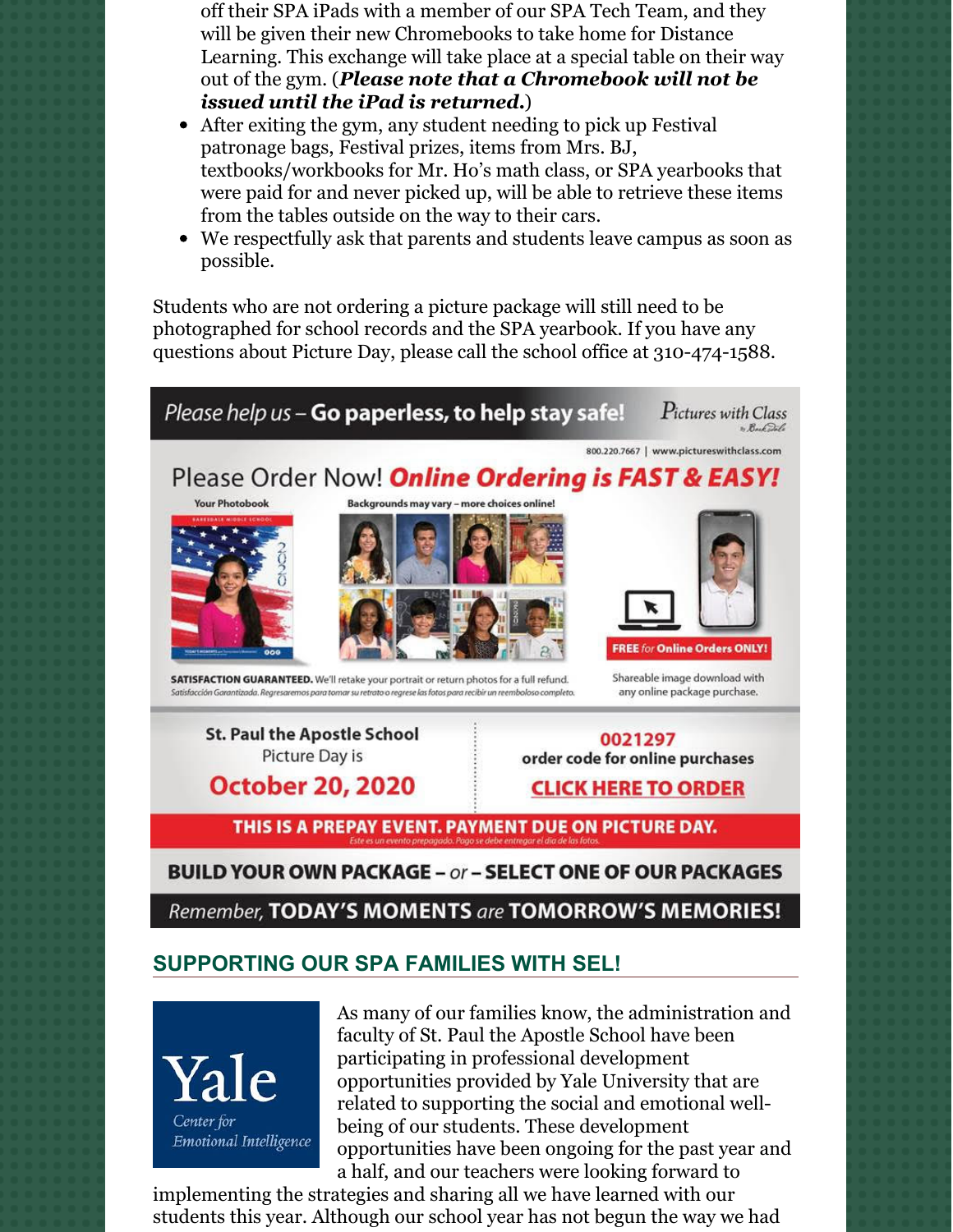off their SPA iPads with a member of our SPA Tech Team, and they will be given their new Chromebooks to take home for Distance Learning. This exchange will take place at a special table on their way out of the gym. (*Please note that a Chromebook will not be issued until the iPad is returned.*)

- After exiting the gym, any student needing to pick up Festival patronage bags, Festival prizes, items from Mrs. BJ, textbooks/workbooks for Mr. Ho's math class, or SPA yearbooks that were paid for and never picked up, will be able to retrieve these items from the tables outside on the way to their cars.
- We respectfully ask that parents and students leave campus as soon as possible.

Students who are not ordering a picture package will still need to be photographed for school records and the SPA yearbook. If you have any questions about Picture Day, please call the school office at 310-474-1588.



**St. Paul the Apostle School** Picture Day is

**October 20, 2020** 

0021297 order code for online purchases

**CLICK HERE TO ORDER** 

THIS IS A PREPAY EVENT. PAYMENT DUE ON PICTURE DAY.

## **BUILD YOUR OWN PACKAGE - or - SELECT ONE OF OUR PACKAGES**

Remember, TODAY'S MOMENTS are TOMORROW'S MEMORIES!

## **SUPPORTING OUR SPA FAMILIES WITH SEL!**

Center for **Emotional Intelligence**  As many of our families know, the administration and faculty of St. Paul the Apostle School have been participating in professional development opportunities provided by Yale University that are related to supporting the social and emotional wellbeing of our students. These development opportunities have been ongoing for the past year and a half, and our teachers were looking forward to

implementing the strategies and sharing all we have learned with our students this year. Although our school year has not begun the way we had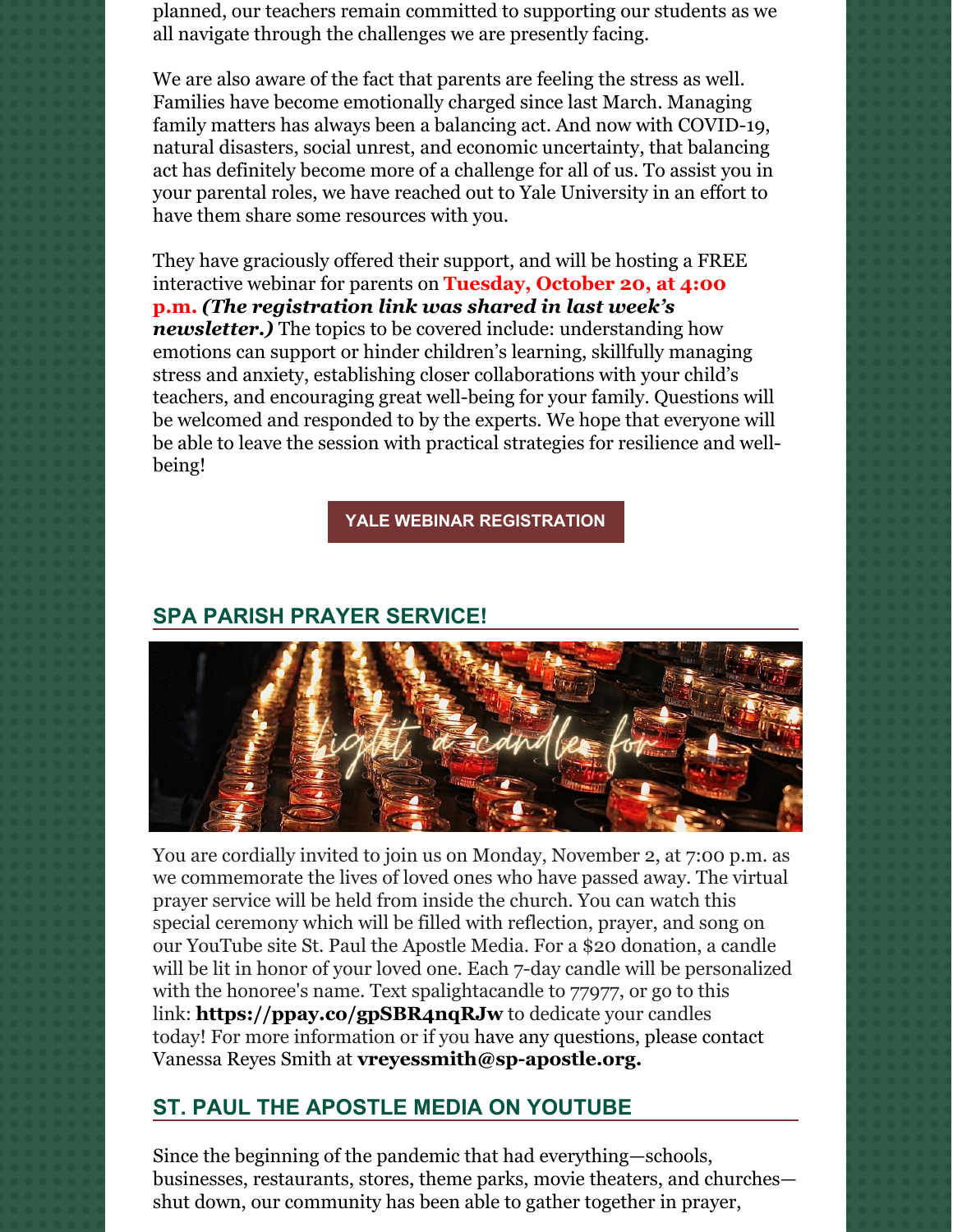planned, our teachers remain committed to supporting our students as we all navigate through the challenges we are presently facing.

We are also aware of the fact that parents are feeling the stress as well. Families have become emotionally charged since last March. Managing family matters has always been a balancing act. And now with COVID-19, natural disasters, social unrest, and economic uncertainty, that balancing act has definitely become more of a challenge for all of us. To assist you in your parental roles, we have reached out to Yale University in an effort to have them share some resources with you.

They have graciously offered their support, and will be hosting a FREE interactive webinar for parents on **Tuesday, October 20, at 4:00 p.m.** *(The registration link was shared in last week's newsletter.)* The topics to be covered include: understanding how emotions can support or hinder children's learning, skillfully managing stress and anxiety, establishing closer collaborations with your child's teachers, and encouraging great well-being for your family. Questions will be welcomed and responded to by the experts. We hope that everyone will be able to leave the session with practical strategies for resilience and wellbeing!

#### **YALE WEBINAR [REGISTRATION](https://zoom.us/webinar/register/WN_JNlnSO96RT-diYZb28WJhg?mc_cid=d314e4bc92&mc_eid=%5BUNIQID%5D)**

### **SPA PARISH PRAYER SERVICE!**



You are cordially invited to join us on Monday, November 2, at 7:00 p.m. as we commemorate the lives of loved ones who have passed away. The virtual prayer service will be held from inside the church. You can watch this special ceremony which will be filled with reflection, prayer, and song on our YouTube site St. Paul the Apostle Media. For a \$20 donation, a candle will be lit in honor of your loved one. Each 7-day candle will be personalized with the honoree's name. Text spalightacandle to 77977, or go to this link: **<https://ppay.co/gpSBR4nqRJw>** to dedicate your candles today! For more information or if you have any questions, please contact Vanessa Reyes Smith at **[vreyessmith@sp-apostle.org.](mailto:vreyessmith@sp-apostle.org)**

## **ST. PAUL THE APOSTLE MEDIA ON YOUTUBE**

Since the beginning of the pandemic that had everything—schools, businesses, restaurants, stores, theme parks, movie theaters, and churches shut down, our community has been able to gather together in prayer,